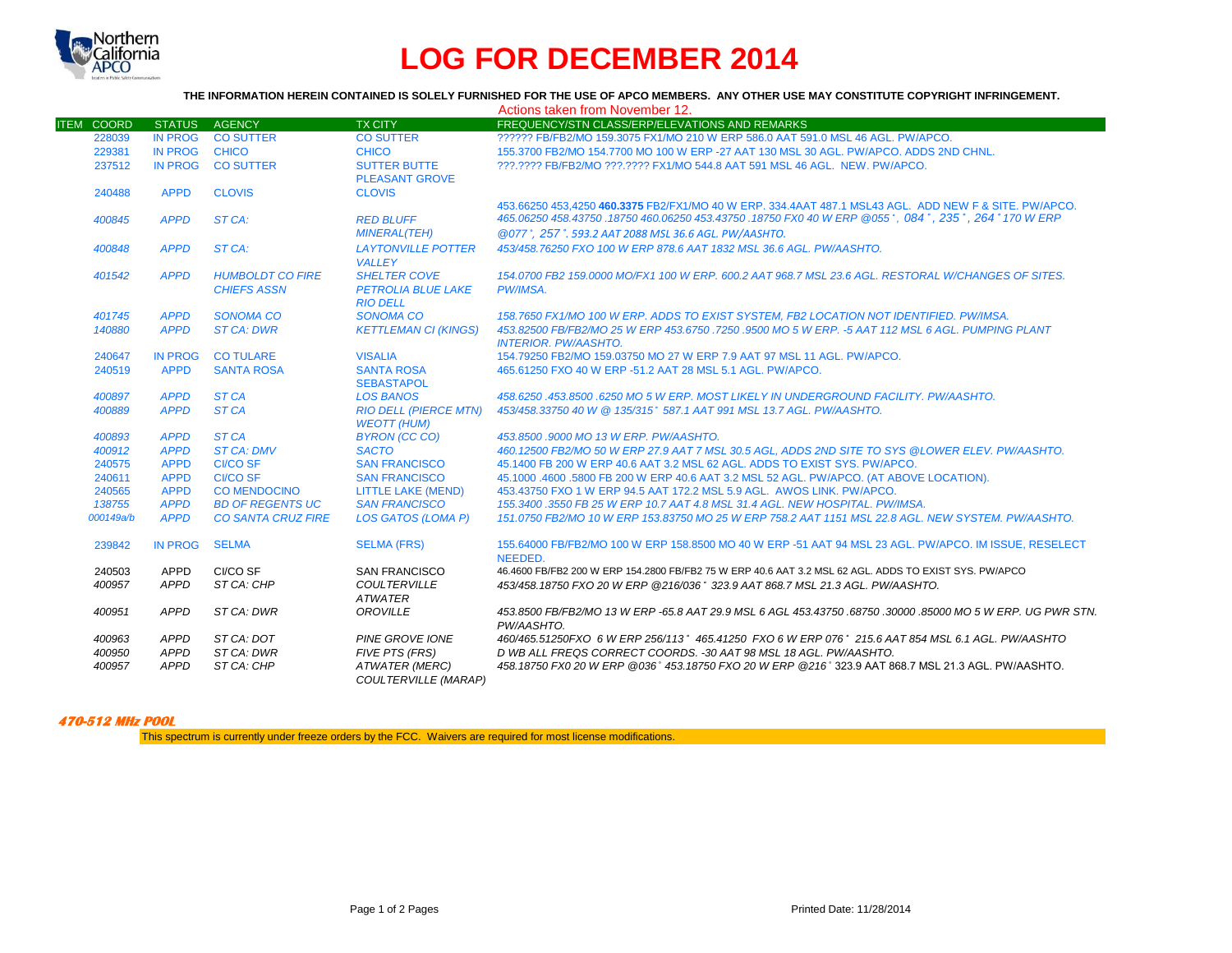

## **LOG FOR DECEMBER 2014**

## **THE INFORMATION HEREIN CONTAINED IS SOLELY FURNISHED FOR THE USE OF APCO MEMBERS. ANY OTHER USE MAY CONSTITUTE COPYRIGHT INFRINGEMENT.**

|                   |                |                           |                              | Actions taken from November 12.                                                                             |
|-------------------|----------------|---------------------------|------------------------------|-------------------------------------------------------------------------------------------------------------|
| <b>ITEM COORD</b> | <b>STATUS</b>  | AGENCY                    | <b>TX CITY</b>               | FREQUENCY/STN CLASS/ERP/ELEVATIONS AND REMARKS                                                              |
| 228039            | <b>IN PROG</b> | <b>CO SUTTER</b>          | <b>CO SUTTER</b>             | ?????? FB/FB2/MO 159.3075 FX1/MO 210 W ERP 586.0 AAT 591.0 MSL 46 AGL, PW/APCO.                             |
| 229381            | <b>IN PROG</b> | <b>CHICO</b>              | <b>CHICO</b>                 | 155,3700 FB2/MO 154,7700 MO 100 W ERP -27 AAT 130 MSL 30 AGL, PW/APCO, ADDS 2ND CHNL.                       |
| 237512            | IN PROG        | <b>CO SUTTER</b>          | <b>SUTTER BUTTE</b>          | 222.2222 FB/FB2/MO 222.2222 FX1/MO 544.8 AAT 591 MSL 46 AGL. NEW. PW/APCO.                                  |
|                   |                |                           | <b>PLEASANT GROVE</b>        |                                                                                                             |
| 240488            | <b>APPD</b>    | <b>CLOVIS</b>             | <b>CLOVIS</b>                |                                                                                                             |
|                   |                |                           |                              | 453.66250 453.4250 460.3375 FB2/FX1/MO 40 W ERP. 334.4AAT 487.1 MSL43 AGL. ADD NEW F & SITE, PW/APCO.       |
| 400845            | <b>APPD</b>    | ST CA:                    | <b>RED BLUFF</b>             | 465.06250 458.43750 .18750 460.06250 453.43750 .18750 FX0 40 W ERP @055°, 084°, 235°, 264° 170 W ERP        |
|                   |                |                           | <b>MINERAL(TEH)</b>          | @077°, 257°, 593.2 AAT 2088 MSL 36.6 AGL, PW/AASHTO,                                                        |
| 400848            | <b>APPD</b>    | ST CA:                    | <b>LAYTONVILLE POTTER</b>    | 453/458.76250 FXO 100 W ERP 878.6 AAT 1832 MSL 36.6 AGL, PW/AASHTO.                                         |
|                   |                |                           | <b>VALLEY</b>                |                                                                                                             |
| 401542            | <b>APPD</b>    | <b>HUMBOLDT CO FIRE</b>   | <b>SHELTER COVE</b>          | 154,0700 FB2 159,0000 MO/FX1 100 W ERP, 600.2 AAT 968.7 MSL 23.6 AGL, RESTORAL W/CHANGES OF SITES.          |
|                   |                | <b>CHIEFS ASSN</b>        | <b>PETROLIA BLUE LAKE</b>    | PW/IMSA.                                                                                                    |
|                   |                |                           | <b>RIO DELL</b>              |                                                                                                             |
| 401745            | <b>APPD</b>    | <b>SONOMA CO</b>          | <b>SONOMA CO</b>             | 158.7650 FX1/MO 100 W ERP. ADDS TO EXIST SYSTEM. FB2 LOCATION NOT IDENTIFIED. PW/IMSA.                      |
| 140880            | <b>APPD</b>    | <b>ST CA: DWR</b>         | <b>KETTLEMAN CI (KINGS)</b>  | 453.82500 FB/FB2/MO 25 W ERP 453.6750 .7250 .9500 MO 5 W ERP. -5 AAT 112 MSL 6 AGL. PUMPING PLANT           |
|                   |                |                           |                              | <b>INTERIOR, PW/AASHTO.</b>                                                                                 |
| 240647            | <b>IN PROG</b> | <b>CO TULARE</b>          | <b>VISALIA</b>               | 154.79250 FB2/MO 159.03750 MO 27 W ERP 7.9 AAT 97 MSL 11 AGL, PW/APCO.                                      |
| 240519            | <b>APPD</b>    | <b>SANTA ROSA</b>         | <b>SANTA ROSA</b>            | 465.61250 FXO 40 W ERP -51.2 AAT 28 MSL 5.1 AGL. PW/APCO.                                                   |
|                   |                |                           | <b>SEBASTAPOL</b>            |                                                                                                             |
| 400897            | <b>APPD</b>    | ST <sub>CA</sub>          | <b>LOS BANOS</b>             | 458.6250.453.8500.6250 MO 5 W ERP. MOST LIKELY IN UNDERGROUND FACILITY. PW/AASHTO.                          |
| 400889            | <b>APPD</b>    | ST <sub>CA</sub>          | <b>RIO DELL (PIERCE MTN)</b> | 453/458.33750 40 W @ 135/315° 587.1 AAT 991 MSL 13.7 AGL. PW/AASHTO.                                        |
|                   |                |                           | <b>WEOTT (HUM)</b>           |                                                                                                             |
| 400893            | <b>APPD</b>    | ST <sub>CA</sub>          | <b>BYRON (CC CO)</b>         | 453.8500 .9000 MO 13 W ERP. PW/AASHTO.                                                                      |
| 400912            | <b>APPD</b>    | <b>ST CA: DMV</b>         | <b>SACTO</b>                 | 460.12500 FB2/MO 50 W ERP 27.9 AAT 7 MSL 30.5 AGL. ADDS 2ND SITE TO SYS @LOWER ELEV. PW/AASHTO.             |
| 240575            | <b>APPD</b>    | <b>CI/CO SF</b>           | <b>SAN FRANCISCO</b>         | 45.1400 FB 200 W ERP 40.6 AAT 3.2 MSL 62 AGL. ADDS TO EXIST SYS. PW/APCO.                                   |
| 240611            | <b>APPD</b>    | <b>CI/CO SF</b>           | <b>SAN FRANCISCO</b>         | 45.1000 .4600 .5800 FB 200 W ERP 40.6 AAT 3.2 MSL 52 AGL. PW/APCO. (AT ABOVE LOCATION).                     |
| 240565            | <b>APPD</b>    | <b>CO MENDOCINO</b>       | <b>LITTLE LAKE (MEND)</b>    | 453.43750 FXO 1 W ERP 94.5 AAT 172.2 MSL 5.9 AGL. AWOS LINK, PW/APCO.                                       |
| 138755            | <b>APPD</b>    | <b>BD OF REGENTS UC</b>   | <b>SAN FRANCISCO</b>         | 155.3400.3550 FB 25 W ERP 10.7 AAT 4.8 MSL 31.4 AGL. NEW HOSPITAL. PW/IMSA.                                 |
| 000149a/b         | <b>APPD</b>    | <b>CO SANTA CRUZ FIRE</b> | <b>LOS GATOS (LOMA P)</b>    | 151.0750 FB2/MO 10 W ERP 153.83750 MO 25 W ERP 758.2 AAT 1151 MSL 22.8 AGL. NEW SYSTEM. PW/AASHTO.          |
| 239842            | <b>IN PROG</b> | <b>SELMA</b>              | <b>SELMA (FRS)</b>           | 155.64000 FB/FB2/MO 100 W ERP 158.8500 MO 40 W ERP -51 AAT 94 MSL 23 AGL. PW/APCO. IM ISSUE. RESELECT       |
|                   |                |                           |                              | NEEDED.                                                                                                     |
| 240503            | APPD           | CI/CO SF                  | <b>SAN FRANCISCO</b>         | 46.4600 FB/FB2 200 W ERP 154.2800 FB/FB2 75 W ERP 40.6 AAT 3.2 MSL 62 AGL, ADDS TO EXIST SYS, PW/APCO       |
| 400957            | APPD           | ST CA: CHP                | <b>COULTERVILLE</b>          | 453/458.18750 FXO 20 W ERP @216/036 ° 323.9 AAT 868.7 MSL 21.3 AGL. PW/AASHTO.                              |
|                   |                |                           | <b>ATWATER</b>               |                                                                                                             |
| 400951            | <b>APPD</b>    | ST CA: DWR                | OROVILLE                     | .453.8500 FB/FB2/MO 13 W ERP -65.8 AAT 29.9 MSL 6 AGL 453.43750 .68750 .30000 .85000 MO 5 W ERP. UG PWR STN |
|                   |                |                           |                              | PW/AASHTO.                                                                                                  |
| 400963            | APPD           | ST CA: DOT                | <b>PINE GROVE IONE</b>       | 460/465.51250FXO 6 W ERP 256/113° 465.41250 FXO 6 W ERP 076° 215.6 AAT 854 MSL 6.1 AGL. PW/AASHTO           |
| 400950            | <b>APPD</b>    | ST CA: DWR                | FIVE PTS (FRS)               | D WB ALL FREQS CORRECT COORDS. -30 AAT 98 MSL 18 AGL, PW/AASHTO.                                            |
| 400957            | <b>APPD</b>    | ST CA: CHP                | <b>ATWATER (MERC)</b>        | 458.18750 FX0 20 W ERP @036° 453.18750 FXO 20 W ERP @216° 323.9 AAT 868.7 MSL 21.3 AGL. PW/AASHTO.          |
|                   |                |                           | <b>COULTERVILLE (MARAP)</b>  |                                                                                                             |

## **470-512 MHz POOL**

This spectrum is currently under freeze orders by the FCC. Waivers are required for most license modifications.